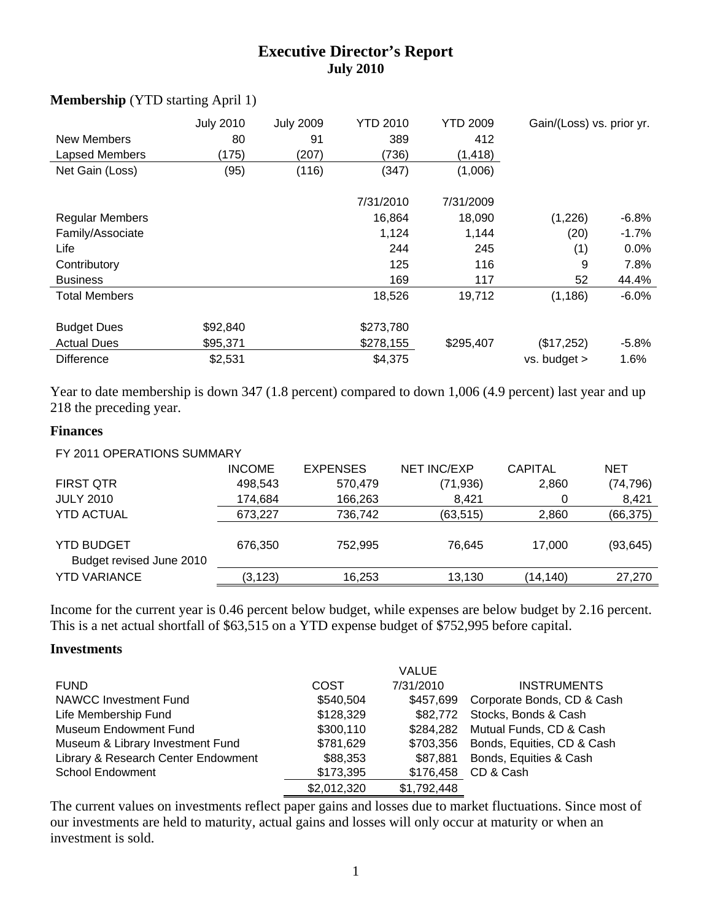# **Executive Director's Report July 2010**

| <b>New Members</b><br>Lapsed Members<br>Net Gain (Loss) | <b>July 2010</b><br>80<br>(175)<br>(95) | <b>July 2009</b><br>91<br>(207)<br>(116) | <b>YTD 2010</b><br>389<br>(736)<br>(347) | <b>YTD 2009</b><br>412<br>(1, 418)<br>(1,006) | Gain/(Loss) vs. prior yr. |          |
|---------------------------------------------------------|-----------------------------------------|------------------------------------------|------------------------------------------|-----------------------------------------------|---------------------------|----------|
|                                                         |                                         |                                          | 7/31/2010                                | 7/31/2009                                     |                           |          |
| <b>Regular Members</b>                                  |                                         |                                          | 16,864                                   | 18,090                                        | (1,226)                   | $-6.8\%$ |
| Family/Associate                                        |                                         |                                          | 1,124                                    | 1,144                                         | (20)                      | $-1.7\%$ |
| Life                                                    |                                         |                                          | 244                                      | 245                                           | (1)                       | $0.0\%$  |
| Contributory                                            |                                         |                                          | 125                                      | 116                                           | 9                         | 7.8%     |
| <b>Business</b>                                         |                                         |                                          | 169                                      | 117                                           | 52                        | 44.4%    |
| <b>Total Members</b>                                    |                                         |                                          | 18,526                                   | 19,712                                        | (1, 186)                  | $-6.0%$  |
| <b>Budget Dues</b>                                      | \$92,840                                |                                          | \$273,780                                |                                               |                           |          |
| <b>Actual Dues</b>                                      | \$95,371                                |                                          | \$278,155                                | \$295,407                                     | (\$17,252)                | $-5.8\%$ |
| <b>Difference</b>                                       | \$2,531                                 |                                          | \$4,375                                  |                                               | $vs.$ budget $>$          | 1.6%     |

#### **Membership** (YTD starting April 1)

Year to date membership is down 347 (1.8 percent) compared to down 1,006 (4.9 percent) last year and up 218 the preceding year.

#### **Finances**

| FY 2011 OPERATIONS SUMMARY |               |                 |                    |                |            |
|----------------------------|---------------|-----------------|--------------------|----------------|------------|
|                            | <b>INCOME</b> | <b>EXPENSES</b> | <b>NET INC/EXP</b> | <b>CAPITAL</b> | <b>NET</b> |
| <b>FIRST QTR</b>           | 498,543       | 570,479         | (71, 936)          | 2,860          | (74, 796)  |
| <b>JULY 2010</b>           | 174,684       | 166,263         | 8,421              | 0              | 8,421      |
| <b>YTD ACTUAL</b>          | 673,227       | 736,742         | (63, 515)          | 2,860          | (66, 375)  |
|                            |               |                 |                    |                |            |
| YTD BUDGET                 | 676.350       | 752.995         | 76.645             | 17.000         | (93, 645)  |
| Budget revised June 2010   |               |                 |                    |                |            |
| <b>YTD VARIANCE</b>        | (3, 123)      | 16,253          | 13,130             | (14,140)       | 27,270     |
|                            |               |                 |                    |                |            |

Income for the current year is 0.46 percent below budget, while expenses are below budget by 2.16 percent. This is a net actual shortfall of \$63,515 on a YTD expense budget of \$752,995 before capital.

#### **Investments**

|                                     |             | <b>VALUE</b> |                               |
|-------------------------------------|-------------|--------------|-------------------------------|
| <b>FUND</b>                         | COST        | 7/31/2010    | <b>INSTRUMENTS</b>            |
| NAWCC Investment Fund               | \$540,504   | \$457.699    | Corporate Bonds, CD & Cash    |
| Life Membership Fund                | \$128,329   |              | \$82,772 Stocks, Bonds & Cash |
| Museum Endowment Fund               | \$300,110   | \$284.282    | Mutual Funds, CD & Cash       |
| Museum & Library Investment Fund    | \$781,629   | \$703.356    | Bonds, Equities, CD & Cash    |
| Library & Research Center Endowment | \$88,353    | \$87.881     | Bonds, Equities & Cash        |
| School Endowment                    | \$173,395   | \$176,458    | CD & Cash                     |
|                                     | \$2,012,320 | \$1,792,448  |                               |

The current values on investments reflect paper gains and losses due to market fluctuations. Since most of our investments are held to maturity, actual gains and losses will only occur at maturity or when an investment is sold.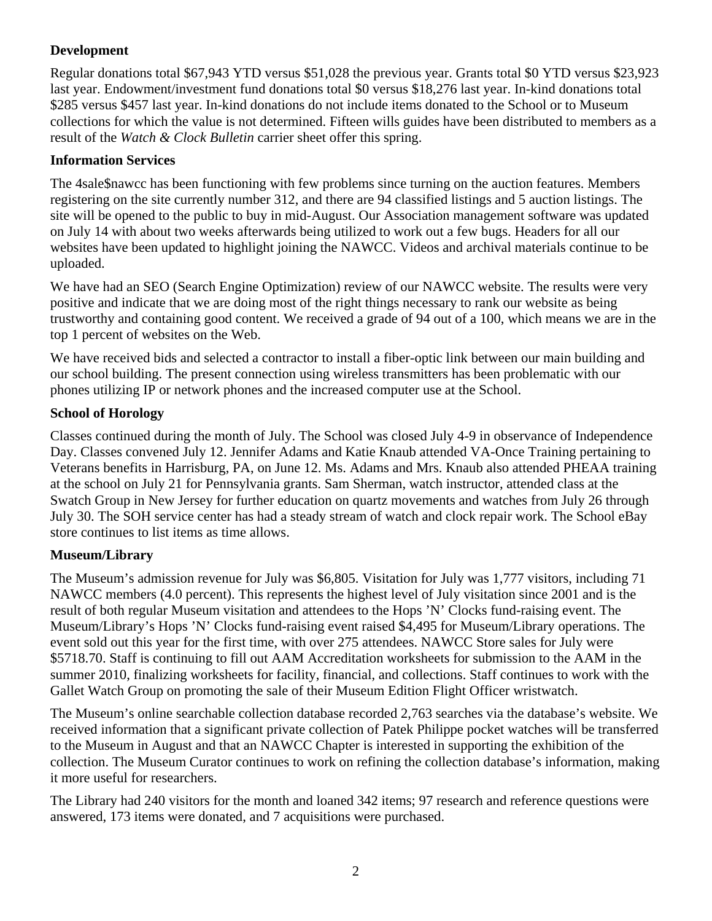# **Development**

Regular donations total \$67,943 YTD versus \$51,028 the previous year. Grants total \$0 YTD versus \$23,923 last year. Endowment/investment fund donations total \$0 versus \$18,276 last year. In-kind donations total \$285 versus \$457 last year. In-kind donations do not include items donated to the School or to Museum collections for which the value is not determined. Fifteen wills guides have been distributed to members as a result of the *Watch & Clock Bulletin* carrier sheet offer this spring.

## **Information Services**

The 4sale\$nawcc has been functioning with few problems since turning on the auction features. Members registering on the site currently number 312, and there are 94 classified listings and 5 auction listings. The site will be opened to the public to buy in mid-August. Our Association management software was updated on July 14 with about two weeks afterwards being utilized to work out a few bugs. Headers for all our websites have been updated to highlight joining the NAWCC. Videos and archival materials continue to be uploaded.

We have had an SEO (Search Engine Optimization) review of our NAWCC website. The results were very positive and indicate that we are doing most of the right things necessary to rank our website as being trustworthy and containing good content. We received a grade of 94 out of a 100, which means we are in the top 1 percent of websites on the Web.

We have received bids and selected a contractor to install a fiber-optic link between our main building and our school building. The present connection using wireless transmitters has been problematic with our phones utilizing IP or network phones and the increased computer use at the School.

## **School of Horology**

Classes continued during the month of July. The School was closed July 4-9 in observance of Independence Day. Classes convened July 12. Jennifer Adams and Katie Knaub attended VA-Once Training pertaining to Veterans benefits in Harrisburg, PA, on June 12. Ms. Adams and Mrs. Knaub also attended PHEAA training at the school on July 21 for Pennsylvania grants. Sam Sherman, watch instructor, attended class at the Swatch Group in New Jersey for further education on quartz movements and watches from July 26 through July 30. The SOH service center has had a steady stream of watch and clock repair work. The School eBay store continues to list items as time allows.

### **Museum/Library**

The Museum's admission revenue for July was \$6,805. Visitation for July was 1,777 visitors, including 71 NAWCC members (4.0 percent). This represents the highest level of July visitation since 2001 and is the result of both regular Museum visitation and attendees to the Hops 'N' Clocks fund-raising event. The Museum/Library's Hops 'N' Clocks fund-raising event raised \$4,495 for Museum/Library operations. The event sold out this year for the first time, with over 275 attendees. NAWCC Store sales for July were \$5718.70. Staff is continuing to fill out AAM Accreditation worksheets for submission to the AAM in the summer 2010, finalizing worksheets for facility, financial, and collections. Staff continues to work with the Gallet Watch Group on promoting the sale of their Museum Edition Flight Officer wristwatch.

The Museum's online searchable collection database recorded 2,763 searches via the database's website. We received information that a significant private collection of Patek Philippe pocket watches will be transferred to the Museum in August and that an NAWCC Chapter is interested in supporting the exhibition of the collection. The Museum Curator continues to work on refining the collection database's information, making it more useful for researchers.

The Library had 240 visitors for the month and loaned 342 items; 97 research and reference questions were answered, 173 items were donated, and 7 acquisitions were purchased.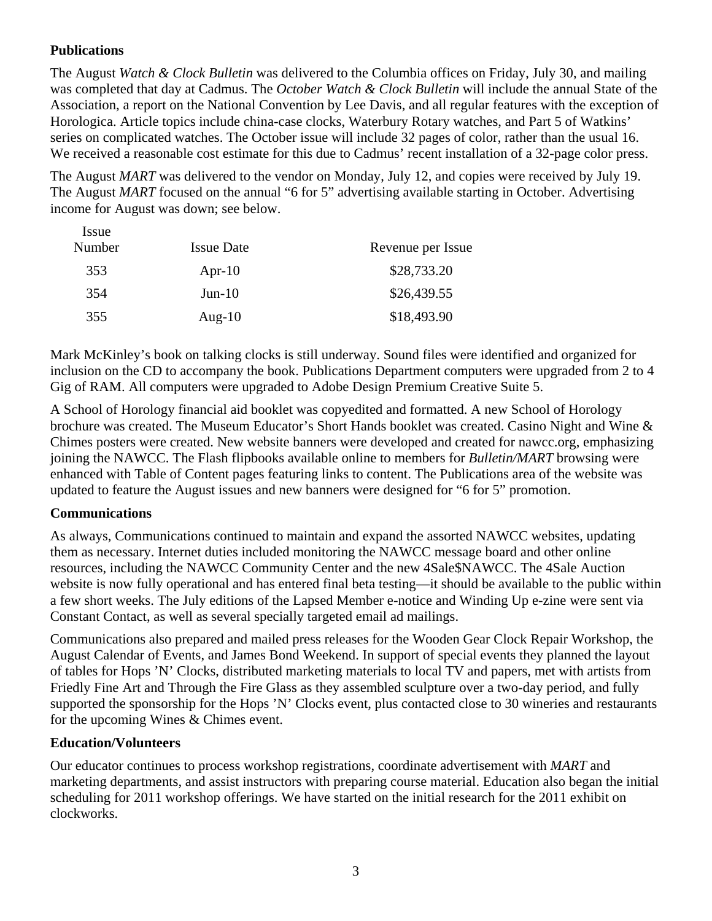### **Publications**

 $I_{2}$ 

The August *Watch & Clock Bulletin* was delivered to the Columbia offices on Friday, July 30, and mailing was completed that day at Cadmus. The *October Watch & Clock Bulletin* will include the annual State of the Association, a report on the National Convention by Lee Davis, and all regular features with the exception of Horologica. Article topics include china-case clocks, Waterbury Rotary watches, and Part 5 of Watkins' series on complicated watches. The October issue will include 32 pages of color, rather than the usual 16. We received a reasonable cost estimate for this due to Cadmus' recent installation of a 32-page color press.

The August *MART* was delivered to the vendor on Monday, July 12, and copies were received by July 19. The August *MART* focused on the annual "6 for 5" advertising available starting in October. Advertising income for August was down; see below.

| <i>ssue</i><br>Number | <b>Issue Date</b> | Revenue per Issue |
|-----------------------|-------------------|-------------------|
| 353                   | Apr-10            | \$28,733.20       |
| 354                   | $Jun-10$          | \$26,439.55       |
| 355                   | Aug- $10$         | \$18,493.90       |

Mark McKinley's book on talking clocks is still underway. Sound files were identified and organized for inclusion on the CD to accompany the book. Publications Department computers were upgraded from 2 to 4 Gig of RAM. All computers were upgraded to Adobe Design Premium Creative Suite 5.

A School of Horology financial aid booklet was copyedited and formatted. A new School of Horology brochure was created. The Museum Educator's Short Hands booklet was created. Casino Night and Wine & Chimes posters were created. New website banners were developed and created for nawcc.org, emphasizing joining the NAWCC. The Flash flipbooks available online to members for *Bulletin/MART* browsing were enhanced with Table of Content pages featuring links to content. The Publications area of the website was updated to feature the August issues and new banners were designed for "6 for 5" promotion.

### **Communications**

As always, Communications continued to maintain and expand the assorted NAWCC websites, updating them as necessary. Internet duties included monitoring the NAWCC message board and other online resources, including the NAWCC Community Center and the new 4Sale\$NAWCC. The 4Sale Auction website is now fully operational and has entered final beta testing—it should be available to the public within a few short weeks. The July editions of the Lapsed Member e-notice and Winding Up e-zine were sent via Constant Contact, as well as several specially targeted email ad mailings.

Communications also prepared and mailed press releases for the Wooden Gear Clock Repair Workshop, the August Calendar of Events, and James Bond Weekend. In support of special events they planned the layout of tables for Hops 'N' Clocks, distributed marketing materials to local TV and papers, met with artists from Friedly Fine Art and Through the Fire Glass as they assembled sculpture over a two-day period, and fully supported the sponsorship for the Hops 'N' Clocks event, plus contacted close to 30 wineries and restaurants for the upcoming Wines & Chimes event.

### **Education/Volunteers**

Our educator continues to process workshop registrations, coordinate advertisement with *MART* and marketing departments, and assist instructors with preparing course material. Education also began the initial scheduling for 2011 workshop offerings. We have started on the initial research for the 2011 exhibit on clockworks.